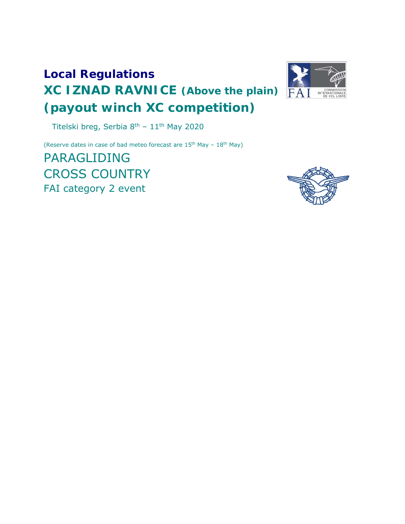# **Local Regulations XC IZNAD RAVNICE (Above the plain) (payout winch XC competition)**



Titelski breg, Serbia 8th – 11th May 2020

(Reserve dates in case of bad meteo forecast are  $15<sup>th</sup>$  May –  $18<sup>th</sup>$  May)

PARAGLIDING CROSS COUNTRY FAI category 2 event

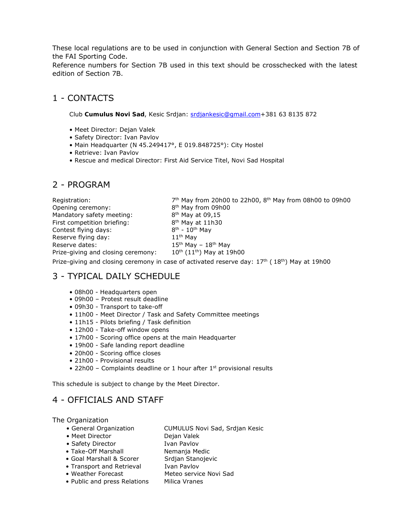These local regulations are to be used in conjunction with General Section and Section 7B of the FAI Sporting Code.

Reference numbers for Section 7B used in this text should be crosschecked with the latest edition of Section 7B.

# 1 - CONTACTS

Club **Cumulus Novi Sad**, Kesic Srdjan: srdjankesic@gmail.com+381 63 8135 872

- Meet Director: Dejan Valek
- Safety Director: Ivan Pavlov
- Main Headquarter (N 45.249417°, E 019.848725°): City Hostel
- Retrieve: Ivan Pavlov
- Rescue and medical Director: First Aid Service Titel, Novi Sad Hospital

# 2 - PROGRAM

Registration:  $7<sup>th</sup>$  May from 20h00 to 22h00, 8<sup>th</sup> May from 08h00 to 09h00 Opening ceremony: 8<sup>th</sup> May from 09h00 Mandatory safety meeting: 8<sup>th</sup> May at 09,15 First competition briefing:  $8^{th}$  May at 11h30<br>Contest flying days:  $8^{th}$  -  $10^{th}$  May Contest flying days: Reserve flying day:  $11<sup>th</sup>$  May Reserve dates:  $15<sup>th</sup>$  May –  $18<sup>th</sup>$  May Prize-giving and closing ceremony:  $10^{th}$  ( $11^{th}$ ) May at 19h00

Prize-giving and closing ceremony in case of activated reserve day:  $17<sup>th</sup>$  ( $18<sup>th</sup>$ ) May at 19h00

# 3 - TYPICAL DAILY SCHEDULE

- 08h00 Headquarters open
- 09h00 Protest result deadline
- 09h30 Transport to take-off
- 11h00 Meet Director / Task and Safety Committee meetings
- 11h15 Pilots briefing / Task definition
- 12h00 Take-off window opens
- 17h00 Scoring office opens at the main Headquarter
- 19h00 Safe landing report deadline
- 20h00 Scoring office closes
- 21h00 Provisional results
- 22h00 Complaints deadline or 1 hour after  $1<sup>st</sup>$  provisional results

This schedule is subject to change by the Meet Director.

# 4 - OFFICIALS AND STAFF

The Organization

- General Organization CUMULUS Novi Sad, Srdjan Kesic
- Meet Director Dejan Valek
- Safety Director Ivan Pavlov
- Take-Off Marshall Nemanja Medic
	-
- Transport and Retrieval Ivan Pavlov
- 
- 
- Public and press Relations Milica Vranes
- Goal Marshall & Scorer Srdjan Stanojevic
	-
- Weather Forecast Meteo service Novi Sad
	-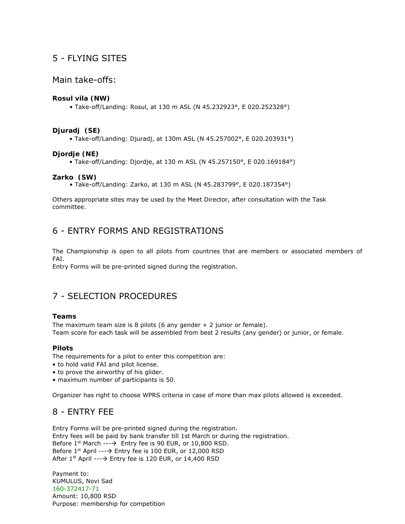# 5 - FLYING SITES

#### Main take-offs:

#### **Rosul vila (NW)**

• Take-off/Landing: Rosul, at 130 m ASL (N 45.232923°, E 020.252328°)

#### **Djuradj (SE)**

• Take-off/Landing: Djuradj, at 130m ASL (N 45.257002°, E 020.203931°)

#### **Djordje (NE)**

• Take-off/Landing: Djordje, at 130 m ASL (N 45.257150°, E 020.169184°)

#### **Zarko (SW)**

• Take-off/Landing: Zarko, at 130 m ASL (N 45.283799°, E 020.187354°)

Others appropriate sites may be used by the Meet Director, after consultation with the Task committee.

# 6 - ENTRY FORMS AND REGISTRATIONS

The Championship is open to all pilots from countries that are members or associated members of FAI.

Entry Forms will be pre-printed signed during the registration.

# 7 - SELECTION PROCEDURES

#### **Teams**

The maximum team size is 8 pilots (6 any gender  $+ 2$  junior or female). Team score for each task will be assembled from best 2 results (any gender) or junior, or female.

#### **Pilots**

The requirements for a pilot to enter this competition are:

- to hold valid FAI and pilot license.
- to prove the airworthy of his glider.
- maximum number of participants is 50.

Organizer has right to choose WPRS criteria in case of more than max pilots allowed is exceeded.

### 8 - ENTRY FEE

Entry Forms will be pre-printed signed during the registration. Entry fees will be paid by bank transfer till 1st March or during the registration. Before  $1^{st}$  March --- $\rightarrow$  Entry fee is 90 EUR, or 10,800 RSD. Before  $1^{st}$  April ---  $\rightarrow$  Entry fee is 100 EUR, or 12,000 RSD After  $1^{st}$  April ---  $\rightarrow$  Entry fee is 120 EUR, or 14,400 RSD

Payment to: KUMULUS, Novi Sad 160-372417-71 Amount: 10,800 RSD Purpose: membership for competition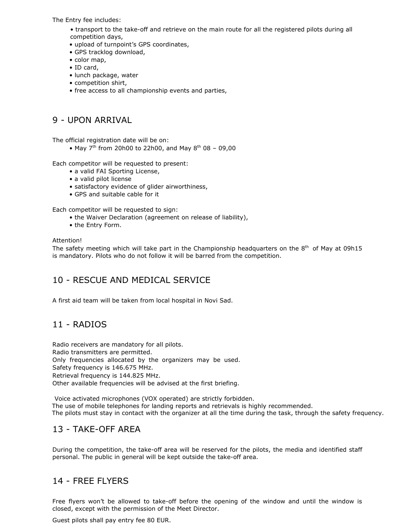The Entry fee includes:

- transport to the take-off and retrieve on the main route for all the registered pilots during all competition days,
- upload of turnpoint's GPS coordinates,
- GPS tracklog download,
- color map,
- ID card,
- lunch package, water
- competition shirt,
- free access to all championship events and parties,

### 9 - UPON ARRIVAL

The official registration date will be on:

• May  $7<sup>th</sup>$  from 20h00 to 22h00, and May  $8<sup>th</sup>$  08 – 09,00

Each competitor will be requested to present:

- a valid FAI Sporting License,
- a valid pilot license
- satisfactory evidence of glider airworthiness,
- GPS and suitable cable for it

Each competitor will be requested to sign:

- the Waiver Declaration (agreement on release of liability),
- the Entry Form.

#### Attention!

The safety meeting which will take part in the Championship headquarters on the  $8<sup>th</sup>$  of May at 09h15 is mandatory. Pilots who do not follow it will be barred from the competition.

# 10 - RESCUE AND MEDICAL SERVICE

A first aid team will be taken from local hospital in Novi Sad.

# 11 - RADIOS

Radio receivers are mandatory for all pilots. Radio transmitters are permitted. Only frequencies allocated by the organizers may be used. Safety frequency is 146.675 MHz. Retrieval frequency is 144.825 MHz. Other available frequencies will be advised at the first briefing.

Voice activated microphones (VOX operated) are strictly forbidden. The use of mobile telephones for landing reports and retrievals is highly recommended. The pilots must stay in contact with the organizer at all the time during the task, through the safety frequency.

### 13 - TAKE-OFF AREA

During the competition, the take-off area will be reserved for the pilots, the media and identified staff personal. The public in general will be kept outside the take-off area.

### 14 - FREE FLYERS

Free flyers won't be allowed to take-off before the opening of the window and until the window is closed, except with the permission of the Meet Director.

Guest pilots shall pay entry fee 80 EUR.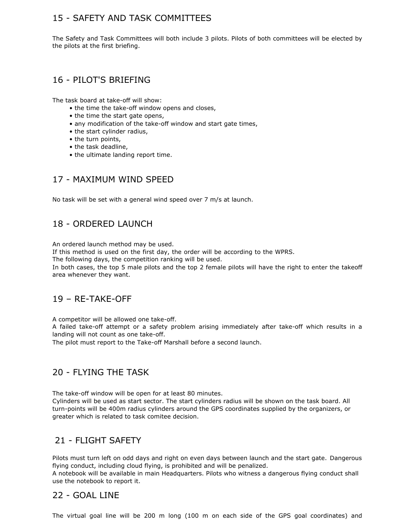# 15 - SAFETY AND TASK COMMITTEES

The Safety and Task Committees will both include 3 pilots. Pilots of both committees will be elected by the pilots at the first briefing.

### 16 - PILOT'S BRIEFING

The task board at take-off will show:

- the time the take-off window opens and closes,
- the time the start gate opens,
- any modification of the take-off window and start gate times,
- the start cylinder radius,
- the turn points,
- the task deadline,
- the ultimate landing report time.

# 17 - MAXIMUM WIND SPEED

No task will be set with a general wind speed over 7 m/s at launch.

# 18 - ORDERED LAUNCH

An ordered launch method may be used.

If this method is used on the first day, the order will be according to the WPRS.

The following days, the competition ranking will be used.

In both cases, the top 5 male pilots and the top 2 female pilots will have the right to enter the takeoff area whenever they want.

### 19 – RE-TAKE-OFF

A competitor will be allowed one take-off.

A failed take-off attempt or a safety problem arising immediately after take-off which results in a landing will not count as one take-off.

The pilot must report to the Take-off Marshall before a second launch.

# 20 - FLYING THE TASK

The take-off window will be open for at least 80 minutes.

Cylinders will be used as start sector. The start cylinders radius will be shown on the task board. All turn-points will be 400m radius cylinders around the GPS coordinates supplied by the organizers, or greater which is related to task comitee decision.

### 21 - FLIGHT SAFETY

Pilots must turn left on odd days and right on even days between launch and the start gate. Dangerous flying conduct, including cloud flying, is prohibited and will be penalized.

A notebook will be available in main Headquarters. Pilots who witness a dangerous flying conduct shall use the notebook to report it.

### 22 - GOAL LINE

The virtual goal line will be 200 m long (100 m on each side of the GPS goal coordinates) and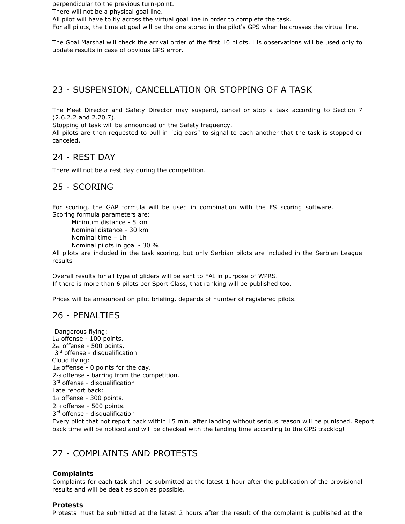perpendicular to the previous turn-point.

There will not be a physical goal line.

All pilot will have to fly across the virtual goal line in order to complete the task.

For all pilots, the time at goal will be the one stored in the pilot's GPS when he crosses the virtual line.

The Goal Marshal will check the arrival order of the first 10 pilots. His observations will be used only to update results in case of obvious GPS error.

### 23 - SUSPENSION, CANCELLATION OR STOPPING OF A TASK

The Meet Director and Safety Director may suspend, cancel or stop a task according to Section 7 (2.6.2.2 and 2.20.7).

Stopping of task will be announced on the Safety frequency.

All pilots are then requested to pull in "big ears" to signal to each another that the task is stopped or canceled.

#### 24 - REST DAY

There will not be a rest day during the competition.

### 25 - SCORING

For scoring, the GAP formula will be used in combination with the FS scoring software. Scoring formula parameters are:

```
 Minimum distance - 5 km 
Nominal distance - 30 km 
Nominal time – 1h 
Nominal pilots in goal - 30 %
```
All pilots are included in the task scoring, but only Serbian pilots are included in the Serbian League results

Overall results for all type of gliders will be sent to FAI in purpose of WPRS. If there is more than 6 pilots per Sport Class, that ranking will be published too.

Prices will be announced on pilot briefing, depends of number of registered pilots.

#### 26 - PENALTIES

Dangerous flying: 1st offense - 100 points. 2nd offense - 500 points. 3<sup>rd</sup> offense - disqualification Cloud flying: 1st offense - 0 points for the day. 2nd offense - barring from the competition. 3<sup>rd</sup> offense - disqualification Late report back: 1st offense - 300 points. 2nd offense - 500 points. 3<sup>rd</sup> offense - disqualification

Every pilot that not report back within 15 min. after landing without serious reason will be punished. Report back time will be noticed and will be checked with the landing time according to the GPS tracklog!

### 27 - COMPLAINTS AND PROTESTS

#### **Complaints**

Complaints for each task shall be submitted at the latest 1 hour after the publication of the provisional results and will be dealt as soon as possible.

#### **Protests**

Protests must be submitted at the latest 2 hours after the result of the complaint is published at the